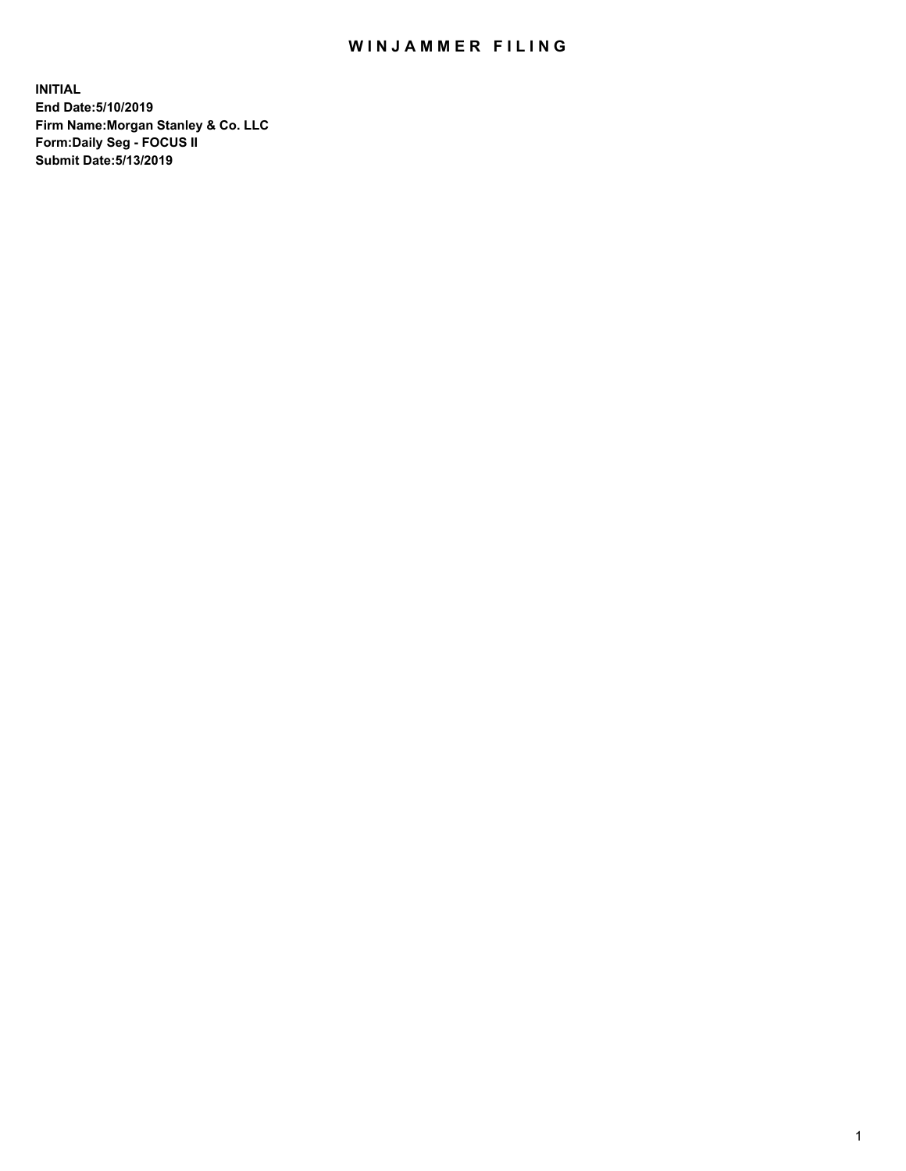## WIN JAMMER FILING

**INITIAL End Date:5/10/2019 Firm Name:Morgan Stanley & Co. LLC Form:Daily Seg - FOCUS II Submit Date:5/13/2019**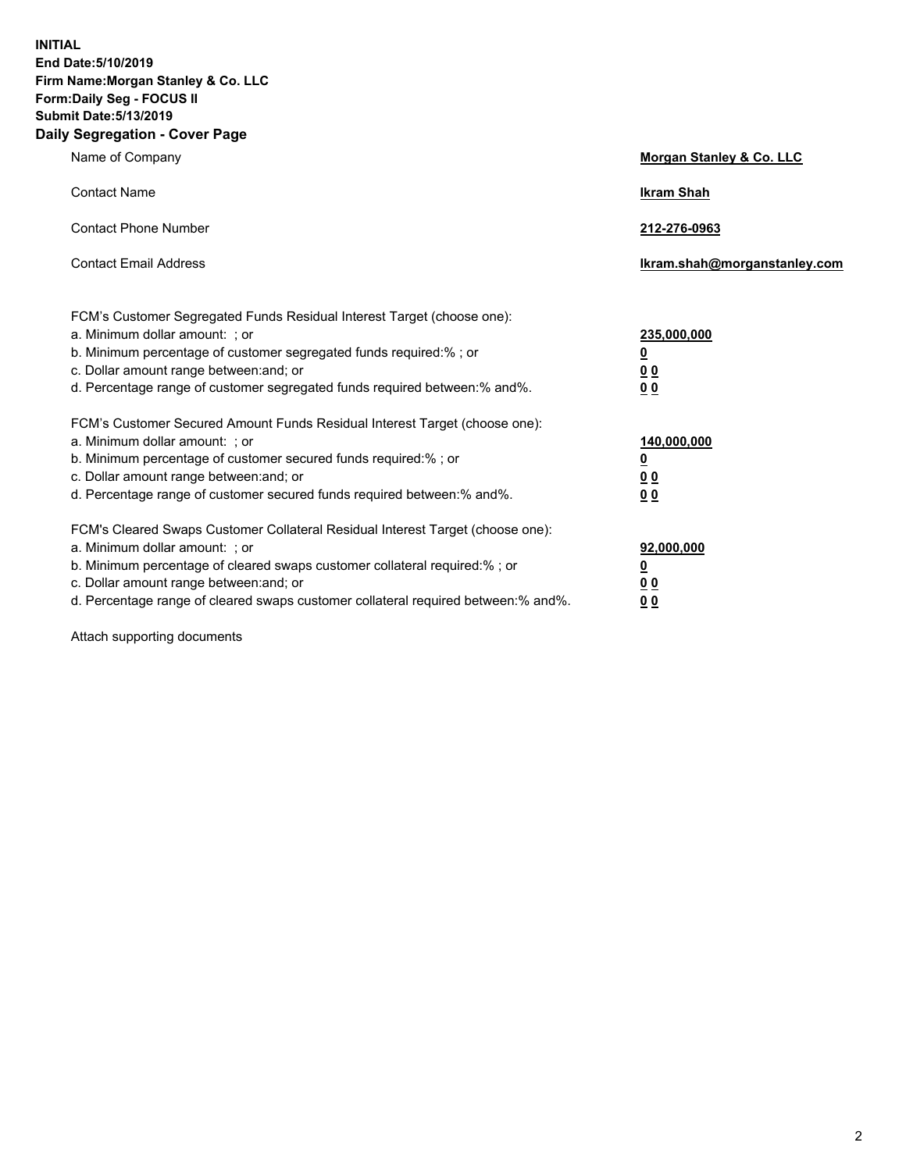**INITIAL End Date:5/10/2019 Firm Name:Morgan Stanley & Co. LLC Form:Daily Seg - FOCUS II Submit Date:5/13/2019 Daily Segregation - Cover Page**

| Name of Company                                                                   | Morgan Stanley & Co. LLC     |
|-----------------------------------------------------------------------------------|------------------------------|
| <b>Contact Name</b>                                                               | <b>Ikram Shah</b>            |
| <b>Contact Phone Number</b>                                                       | 212-276-0963                 |
| <b>Contact Email Address</b>                                                      | Ikram.shah@morganstanley.com |
| FCM's Customer Segregated Funds Residual Interest Target (choose one):            |                              |
| a. Minimum dollar amount: ; or                                                    | 235,000,000                  |
| b. Minimum percentage of customer segregated funds required:% ; or                | <u>0</u>                     |
| c. Dollar amount range between: and; or                                           | <u>0 0</u>                   |
| d. Percentage range of customer segregated funds required between: % and %.       | 00                           |
| FCM's Customer Secured Amount Funds Residual Interest Target (choose one):        |                              |
| a. Minimum dollar amount: ; or                                                    | 140,000,000                  |
| b. Minimum percentage of customer secured funds required:%; or                    | <u>0</u>                     |
| c. Dollar amount range between: and; or                                           | 0 <sub>0</sub>               |
| d. Percentage range of customer secured funds required between:% and%.            | 0 <sub>0</sub>               |
| FCM's Cleared Swaps Customer Collateral Residual Interest Target (choose one):    |                              |
| a. Minimum dollar amount: ; or                                                    | 92,000,000                   |
| b. Minimum percentage of cleared swaps customer collateral required:% ; or        | <u>0</u>                     |
| c. Dollar amount range between: and; or                                           | 0 Q                          |
| d. Percentage range of cleared swaps customer collateral required between:% and%. | 00                           |

Attach supporting documents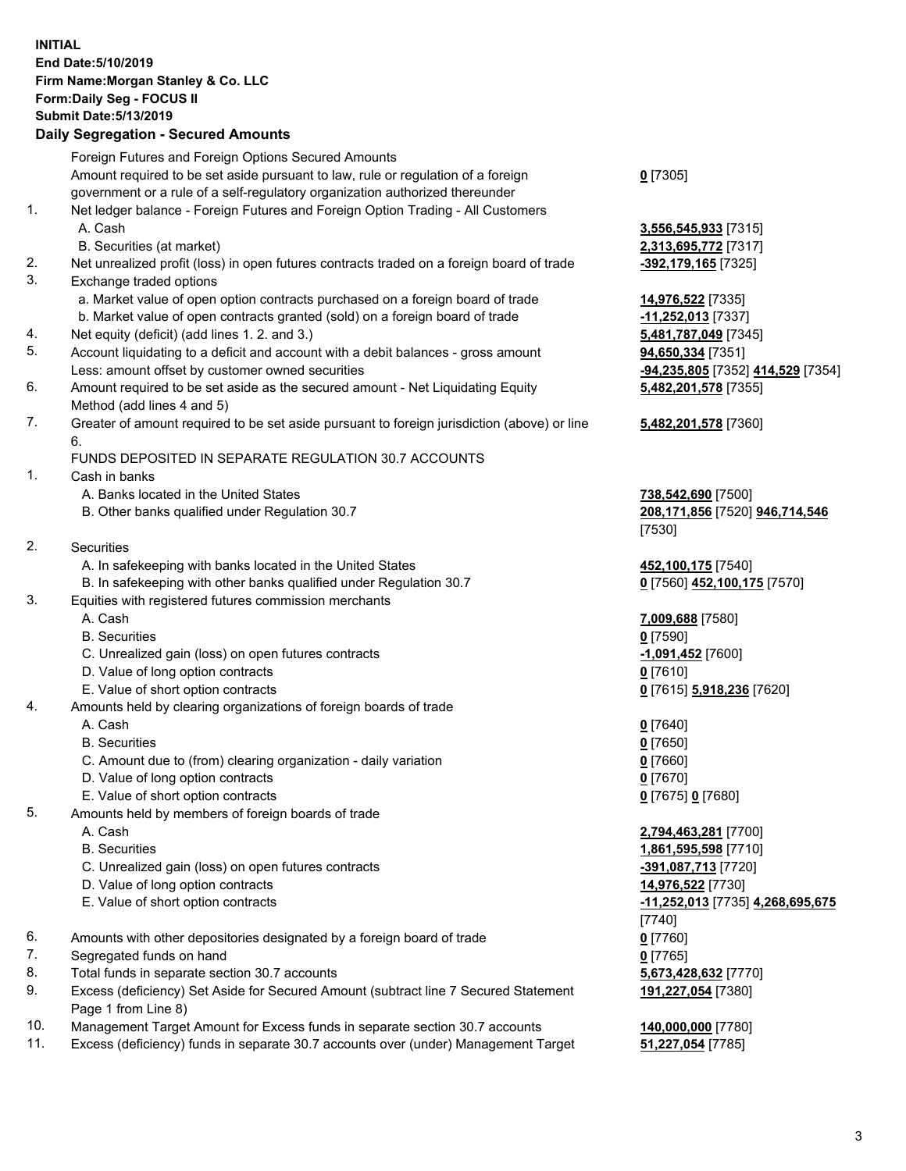## **INITIAL End Date:5/10/2019 Firm Name:Morgan Stanley & Co. LLC Form:Daily Seg - FOCUS II Submit Date:5/13/2019**

**Daily Segregation - Secured Amounts** Foreign Futures and Foreign Options Secured Amounts Amount required to be set aside pursuant to law, rule or regulation of a foreign government or a rule of a self-regulatory organization authorized thereunder 1. Net ledger balance - Foreign Futures and Foreign Option Trading - All Customers A. Cash **3,556,545,933** [7315] B. Securities (at market) **2,313,695,772** [7317] 2. Net unrealized profit (loss) in open futures contracts traded on a foreign board of trade **-392,179,165** [7325] 3. Exchange traded options a. Market value of open option contracts purchased on a foreign board of trade **14,976,522** [7335] b. Market value of open contracts granted (sold) on a foreign board of trade **-11,252,013** [7337] 4. Net equity (deficit) (add lines 1. 2. and 3.) **5,481,787,049** [7345] 5. Account liquidating to a deficit and account with a debit balances - gross amount **94,650,334** [7351] Less: amount offset by customer owned securities **-94,235,805** [7352] **414,529** [7354] 6. Amount required to be set aside as the secured amount - Net Liquidating Equity Method (add lines 4 and 5) 7. Greater of amount required to be set aside pursuant to foreign jurisdiction (above) or line 6. FUNDS DEPOSITED IN SEPARATE REGULATION 30.7 ACCOUNTS 1. Cash in banks A. Banks located in the United States **738,542,690** [7500] B. Other banks qualified under Regulation 30.7 **208,171,856** [7520] **946,714,546** [7530] 2. Securities A. In safekeeping with banks located in the United States **452,100,175** [7540] B. In safekeeping with other banks qualified under Regulation 30.7 **0** [7560] **452,100,175** [7570] 3. Equities with registered futures commission merchants A. Cash **7,009,688** [7580] B. Securities **0** [7590] C. Unrealized gain (loss) on open futures contracts **-1,091,452** [7600] D. Value of long option contracts **0** [7610] E. Value of short option contracts **0** [7615] **5,918,236** [7620] 4. Amounts held by clearing organizations of foreign boards of trade A. Cash **0** [7640] B. Securities **0** [7650] C. Amount due to (from) clearing organization - daily variation **0** [7660] D. Value of long option contracts **0** [7670] E. Value of short option contracts **0** [7675] **0** [7680] 5. Amounts held by members of foreign boards of trade A. Cash **2,794,463,281** [7700] B. Securities **1,861,595,598** [7710] C. Unrealized gain (loss) on open futures contracts **-391,087,713** [7720] D. Value of long option contracts **14,976,522** [7730]

- 
- 
- 6. Amounts with other depositories designated by a foreign board of trade **0** [7760]
- 7. Segregated funds on hand **0** [7765]
- 8. Total funds in separate section 30.7 accounts **5,673,428,632** [7770]
- 9. Excess (deficiency) Set Aside for Secured Amount (subtract line 7 Secured Statement Page 1 from Line 8)
- 10. Management Target Amount for Excess funds in separate section 30.7 accounts **140,000,000** [7780]
- 11. Excess (deficiency) funds in separate 30.7 accounts over (under) Management Target **51,227,054** [7785]

**0** [7305]

**5,482,201,578** [7355]

## **5,482,201,578** [7360]

 E. Value of short option contracts **-11,252,013** [7735] **4,268,695,675** [7740] **191,227,054** [7380]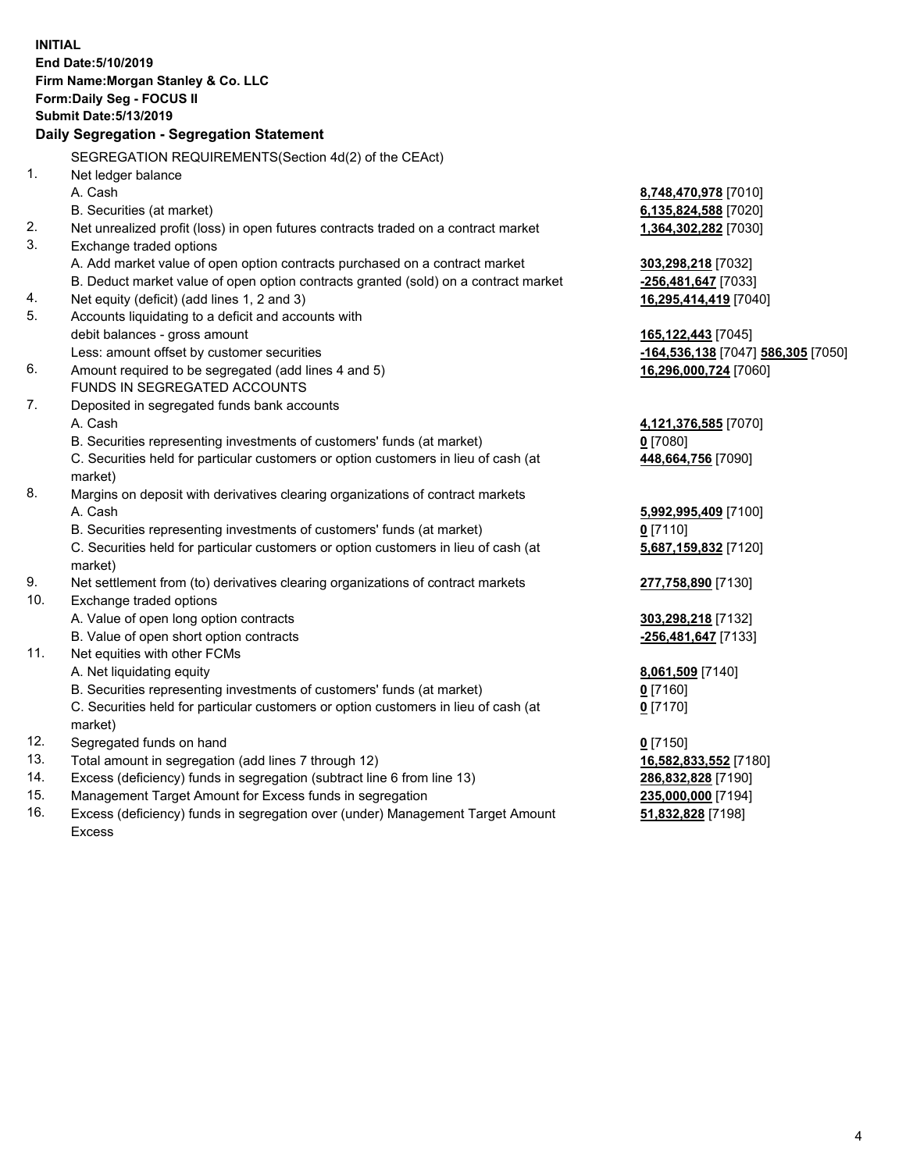**INITIAL End Date:5/10/2019 Firm Name:Morgan Stanley & Co. LLC Form:Daily Seg - FOCUS II Submit Date:5/13/2019 Daily Segregation - Segregation Statement** SEGREGATION REQUIREMENTS(Section 4d(2) of the CEAct) 1. Net ledger balance A. Cash **8,748,470,978** [7010] B. Securities (at market) **6,135,824,588** [7020] 2. Net unrealized profit (loss) in open futures contracts traded on a contract market **1,364,302,282** [7030] 3. Exchange traded options A. Add market value of open option contracts purchased on a contract market **303,298,218** [7032] B. Deduct market value of open option contracts granted (sold) on a contract market **-256,481,647** [7033] 4. Net equity (deficit) (add lines 1, 2 and 3) **16,295,414,419** [7040] 5. Accounts liquidating to a deficit and accounts with debit balances - gross amount **165,122,443** [7045] Less: amount offset by customer securities **-164,536,138** [7047] **586,305** [7050] 6. Amount required to be segregated (add lines 4 and 5) **16,296,000,724** [7060] FUNDS IN SEGREGATED ACCOUNTS 7. Deposited in segregated funds bank accounts A. Cash **4,121,376,585** [7070] B. Securities representing investments of customers' funds (at market) **0** [7080] C. Securities held for particular customers or option customers in lieu of cash (at market) **448,664,756** [7090] 8. Margins on deposit with derivatives clearing organizations of contract markets A. Cash **5,992,995,409** [7100] B. Securities representing investments of customers' funds (at market) **0** [7110] C. Securities held for particular customers or option customers in lieu of cash (at market) **5,687,159,832** [7120] 9. Net settlement from (to) derivatives clearing organizations of contract markets **277,758,890** [7130] 10. Exchange traded options A. Value of open long option contracts **303,298,218** [7132] B. Value of open short option contracts **-256,481,647** [7133] 11. Net equities with other FCMs A. Net liquidating equity **8,061,509** [7140] B. Securities representing investments of customers' funds (at market) **0** [7160] C. Securities held for particular customers or option customers in lieu of cash (at market) **0** [7170] 12. Segregated funds on hand **0** [7150] 13. Total amount in segregation (add lines 7 through 12) **16,582,833,552** [7180] 14. Excess (deficiency) funds in segregation (subtract line 6 from line 13) **286,832,828** [7190] 15. Management Target Amount for Excess funds in segregation **235,000,000** [7194] **51,832,828** [7198]

16. Excess (deficiency) funds in segregation over (under) Management Target Amount Excess